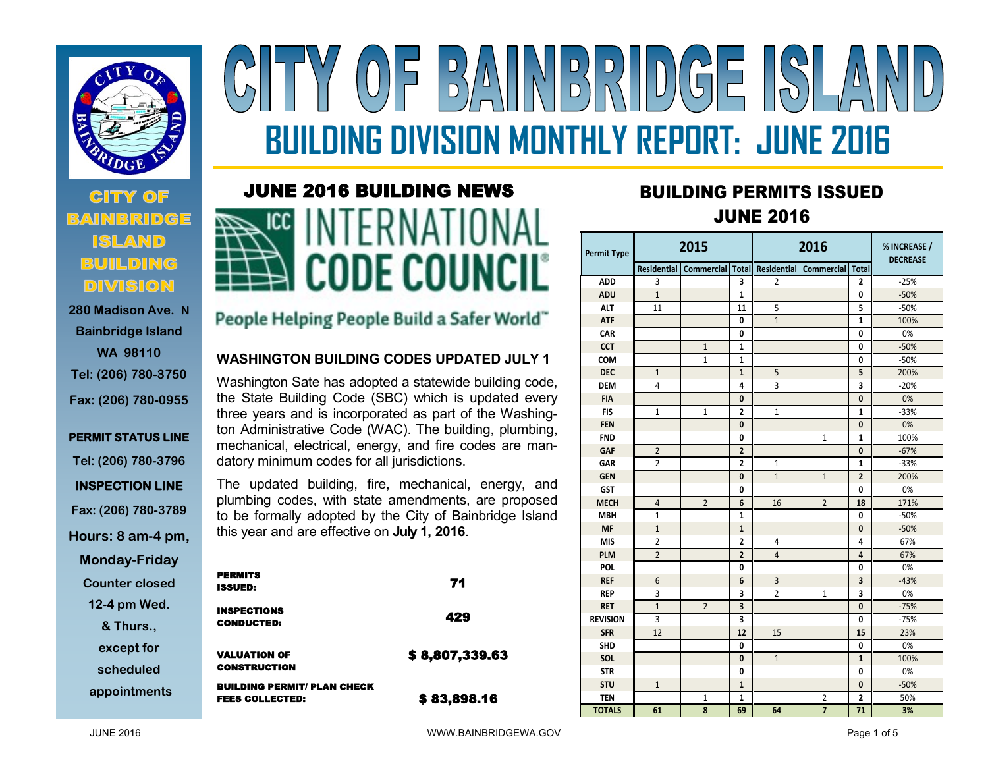

## **CITY OF BUILDING DIVISION**

**280 Madison Ave. N Bainbridge Island WA 98110 Tel: (206) 780-3750 Fax: (206) 780-0955**

### **PERMIT STATUS LINE Tel: (206) 780-3796 INSPECTION LINE Fax: (206) 780-3789 Hours: 8 am-4 pm, Monday-Friday**

**Counter closed** 

**12-4 pm Wed.** 

**& Thurs.,** 

**except for** 

**scheduled**

**appointments**

# NBRIDGE  $\frac{D}{D}$ **BUILDING DIVISION MONTHLY REPORT: JUNE 2016**

### JUNE 2016 BUILDING NEWS



### People Helping People Build a Safer World"

#### **WASHINGTON BUILDING CODES UPDATED JULY 1**

Washington Sate has adopted a statewide building code, the State Building Code (SBC) which is updated every three years and is incorporated as part of the Washington Administrative Code (WAC). The building, plumbing, mechanical, electrical, energy, and fire codes are mandatory minimum codes for all jurisdictions.

The updated building, fire, mechanical, energy, and plumbing codes, with state amendments, are proposed to be formally adopted by the City of Bainbridge Island this year and are effective on **July 1, 2016**.

| <b>PERMITS</b><br><b>ISSUED:</b>                             | 71             |
|--------------------------------------------------------------|----------------|
| <b>INSPECTIONS</b><br><b>CONDUCTED:</b>                      | 429            |
| <b>VALUATION OF</b><br><b>CONSTRUCTION</b>                   | \$8,807,339.63 |
| <b>BUILDING PERMIT/ PLAN CHECK</b><br><b>FEES COLLECTED:</b> | \$83,898.16    |

### **<sup>2016</sup>** BUILDING PERMITS ISSUED JUNE 2016

| Permit Type     | 2015           |                          |                         | 2016           |                           |                | % INCREASE /<br><b>DECREASE</b> |
|-----------------|----------------|--------------------------|-------------------------|----------------|---------------------------|----------------|---------------------------------|
|                 |                | Residential   Commercial | <b>Total</b>            | Residential    | <b>Commercial   Total</b> |                |                                 |
| <b>ADD</b>      | 3              |                          | 3                       | 2              |                           | 2              | $-25%$                          |
| <b>ADU</b>      | $\mathbf{1}$   |                          | $\mathbf{1}$            |                |                           | 0              | $-50%$                          |
| <b>ALT</b>      | 11             |                          | 11                      | 5              |                           | 5              | $-50%$                          |
| <b>ATF</b>      |                |                          | 0                       | $\mathbf{1}$   |                           | $\mathbf{1}$   | 100%                            |
| CAR             |                |                          | 0                       |                |                           | 0              | 0%                              |
| <b>CCT</b>      |                | $\mathbf{1}$             | $\mathbf{1}$            |                |                           | 0              | $-50%$                          |
| COM             |                | $\mathbf{1}$             | $\mathbf{1}$            |                |                           | 0              | $-50%$                          |
| <b>DEC</b>      | $\mathbf{1}$   |                          | $\mathbf{1}$            | 5              |                           | 5              | 200%                            |
| <b>DEM</b>      | 4              |                          | 4                       | 3              |                           | 3              | $-20%$                          |
| <b>FIA</b>      |                |                          | $\mathbf{0}$            |                |                           | 0              | 0%                              |
| <b>FIS</b>      | $\mathbf{1}$   | $\mathbf{1}$             | $\overline{2}$          | $\mathbf{1}$   |                           | $\mathbf{1}$   | $-33%$                          |
| <b>FEN</b>      |                |                          | $\mathbf{0}$            |                |                           | $\mathbf{0}$   | 0%                              |
| <b>FND</b>      |                |                          | 0                       |                | $\mathbf{1}$              | $\mathbf{1}$   | 100%                            |
| <b>GAF</b>      | $\overline{2}$ |                          | $\overline{2}$          |                |                           | 0              | $-67%$                          |
| <b>GAR</b>      | $\overline{2}$ |                          | $\overline{2}$          | 1              |                           | $\mathbf{1}$   | $-33%$                          |
| <b>GEN</b>      |                |                          | 0                       | $\mathbf{1}$   | $\mathbf{1}$              | $\overline{2}$ | 200%                            |
| <b>GST</b>      |                |                          | 0                       |                |                           | 0              | 0%                              |
| <b>MECH</b>     | 4              | $\overline{2}$           | 6                       | 16             | $\overline{2}$            | 18             | 171%                            |
| <b>MBH</b>      | $\mathbf{1}$   |                          | $\mathbf{1}$            |                |                           | 0              | $-50%$                          |
| <b>MF</b>       | $\mathbf{1}$   |                          | $\mathbf{1}$            |                |                           | 0              | $-50%$                          |
| <b>MIS</b>      | $\overline{2}$ |                          | $\overline{2}$          | 4              |                           | 4              | 67%                             |
| <b>PLM</b>      | $\overline{2}$ |                          | $\overline{2}$          | $\overline{4}$ |                           | 4              | 67%                             |
| <b>POL</b>      |                |                          | 0                       |                |                           | 0              | 0%                              |
| <b>REF</b>      | 6              |                          | 6                       | 3              |                           | 3              | $-43%$                          |
| <b>REP</b>      | 3              |                          | 3                       | $\overline{2}$ | $\mathbf{1}$              | 3              | 0%                              |
| <b>RET</b>      | $\mathbf{1}$   | $\overline{2}$           | $\overline{\mathbf{3}}$ |                |                           | 0              | $-75%$                          |
| <b>REVISION</b> | 3              |                          | 3                       |                |                           | 0              | $-75%$                          |
| <b>SFR</b>      | 12             |                          | 12                      | 15             |                           | 15             | 23%                             |
| <b>SHD</b>      |                |                          | 0                       |                |                           | 0              | 0%                              |
| SOL             |                |                          | $\mathbf{0}$            | $\mathbf{1}$   |                           | $\mathbf{1}$   | 100%                            |
| <b>STR</b>      |                |                          | 0                       |                |                           | 0              | 0%                              |
| <b>STU</b>      | $\mathbf{1}$   |                          | $\mathbf{1}$            |                |                           | 0              | $-50%$                          |
| <b>TEN</b>      |                | 1                        | 1                       |                | 2                         | 2              | 50%                             |
| <b>TOTALS</b>   | 61             | 8                        | 69                      | 64             | $\overline{7}$            | 71             | 3%                              |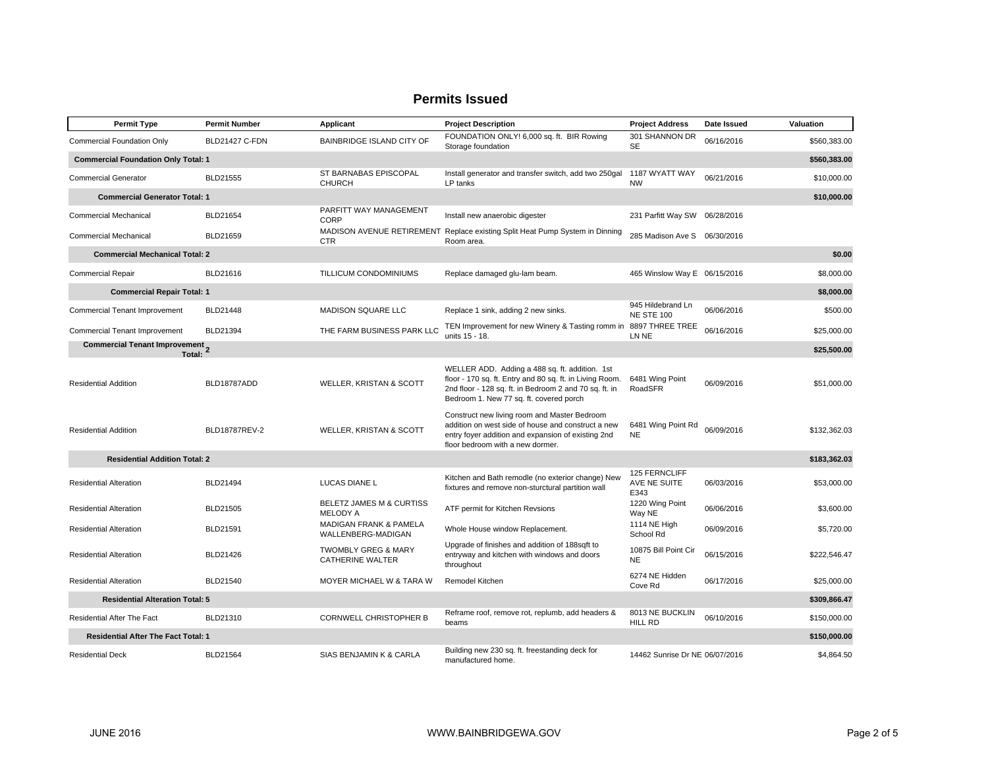| <b>Permit Type</b>                                         | <b>Permit Number</b>  | Applicant                                                 | <b>Project Description</b>                                                                                                                                                                                      | <b>Project Address</b>                 | Date Issued | Valuation    |  |  |
|------------------------------------------------------------|-----------------------|-----------------------------------------------------------|-----------------------------------------------------------------------------------------------------------------------------------------------------------------------------------------------------------------|----------------------------------------|-------------|--------------|--|--|
| <b>Commercial Foundation Only</b>                          | <b>BLD21427 C-FDN</b> | BAINBRIDGE ISLAND CITY OF                                 | FOUNDATION ONLY! 6,000 sq. ft. BIR Rowing<br>Storage foundation                                                                                                                                                 | 301 SHANNON DR<br><b>SE</b>            | 06/16/2016  | \$560,383.00 |  |  |
| <b>Commercial Foundation Only Total: 1</b>                 |                       |                                                           |                                                                                                                                                                                                                 |                                        |             |              |  |  |
| <b>Commercial Generator</b>                                | <b>BLD21555</b>       | ST BARNABAS EPISCOPAL<br><b>CHURCH</b>                    | Install generator and transfer switch, add two 250gal<br>LP tanks                                                                                                                                               | 1187 WYATT WAY<br><b>NW</b>            | 06/21/2016  | \$10,000.00  |  |  |
| <b>Commercial Generator Total: 1</b>                       |                       |                                                           |                                                                                                                                                                                                                 |                                        |             | \$10,000.00  |  |  |
| <b>Commercial Mechanical</b>                               | BLD21654              | PARFITT WAY MANAGEMENT<br>CORP                            | Install new anaerobic digester                                                                                                                                                                                  | 231 Parfitt Way SW 06/28/2016          |             |              |  |  |
| <b>Commercial Mechanical</b>                               | BLD21659              | <b>CTR</b>                                                | MADISON AVENUE RETIREMENT Replace existing Split Heat Pump System in Dinning<br>Room area.                                                                                                                      | 285 Madison Ave S 06/30/2016           |             |              |  |  |
| <b>Commercial Mechanical Total: 2</b>                      |                       |                                                           |                                                                                                                                                                                                                 |                                        |             | \$0.00       |  |  |
| <b>Commercial Repair</b>                                   | BLD21616              | TILLICUM CONDOMINIUMS                                     | Replace damaged glu-lam beam.                                                                                                                                                                                   | 465 Winslow Way E 06/15/2016           |             | \$8,000.00   |  |  |
| <b>Commercial Repair Total: 1</b>                          |                       |                                                           |                                                                                                                                                                                                                 |                                        |             | \$8,000.00   |  |  |
| <b>Commercial Tenant Improvement</b>                       | <b>BLD21448</b>       | <b>MADISON SQUARE LLC</b>                                 | Replace 1 sink, adding 2 new sinks.                                                                                                                                                                             | 945 Hildebrand Ln<br><b>NE STE 100</b> | 06/06/2016  | \$500.00     |  |  |
| Commercial Tenant Improvement                              | BLD21394              | THE FARM BUSINESS PARK LLC                                | TEN Improvement for new Winery & Tasting romm in<br>units 15 - 18.                                                                                                                                              | 8897 THREE TREE<br>LN NE               | 06/16/2016  | \$25,000.00  |  |  |
| Commercial Tenant Improvement 2<br>Total:                  |                       |                                                           |                                                                                                                                                                                                                 |                                        |             | \$25,500.00  |  |  |
| <b>Residential Addition</b>                                | BLD18787ADD           | <b>WELLER, KRISTAN &amp; SCOTT</b>                        | WELLER ADD. Adding a 488 sq. ft. addition. 1st<br>floor - 170 sq. ft. Entry and 80 sq. ft. in Living Room.<br>2nd floor - 128 sq. ft. in Bedroom 2 and 70 sq. ft. in<br>Bedroom 1. New 77 sq. ft. covered porch | 6481 Wing Point<br>RoadSFR             | 06/09/2016  | \$51,000.00  |  |  |
| <b>Residential Addition</b>                                | BLD18787REV-2         | WELLER, KRISTAN & SCOTT                                   | Construct new living room and Master Bedroom<br>addition on west side of house and construct a new<br>entry foyer addition and expansion of existing 2nd<br>floor bedroom with a new dormer.                    | 6481 Wing Point Rd<br><b>NE</b>        | 06/09/2016  | \$132,362.03 |  |  |
| <b>Residential Addition Total: 2</b>                       |                       |                                                           |                                                                                                                                                                                                                 |                                        |             |              |  |  |
| <b>Residential Alteration</b>                              | BLD21494              | <b>LUCAS DIANE L</b>                                      | Kitchen and Bath remodle (no exterior change) New<br>fixtures and remove non-sturctural partition wall                                                                                                          | 125 FERNCLIFF<br>AVE NE SUITE<br>E343  | 06/03/2016  | \$53,000.00  |  |  |
| <b>Residential Alteration</b>                              | BLD21505              | <b>BELETZ JAMES M &amp; CURTISS</b><br><b>MELODY A</b>    | ATF permit for Kitchen Revsions                                                                                                                                                                                 | 1220 Wing Point<br>Way NE              | 06/06/2016  | \$3,600.00   |  |  |
| <b>Residential Alteration</b>                              | BLD21591              | <b>MADIGAN FRANK &amp; PAMELA</b><br>WALLENBERG-MADIGAN   | Whole House window Replacement.                                                                                                                                                                                 | 1114 NE High<br>School Rd              | 06/09/2016  | \$5,720.00   |  |  |
| <b>Residential Alteration</b>                              | BLD21426              | <b>TWOMBLY GREG &amp; MARY</b><br><b>CATHERINE WALTER</b> | Upgrade of finishes and addition of 188sqft to<br>entryway and kitchen with windows and doors<br>throughout                                                                                                     | 10875 Bill Point Cir<br><b>NE</b>      | 06/15/2016  | \$222,546.47 |  |  |
| <b>Residential Alteration</b>                              | BLD21540              | <b>MOYER MICHAEL W &amp; TARA W</b>                       | Remodel Kitchen                                                                                                                                                                                                 | 6274 NE Hidden<br>Cove Rd              | 06/17/2016  | \$25,000.00  |  |  |
| <b>Residential Alteration Total: 5</b>                     |                       |                                                           |                                                                                                                                                                                                                 |                                        |             |              |  |  |
| Residential After The Fact                                 | BLD21310              | CORNWELL CHRISTOPHER B                                    | Reframe roof, remove rot, replumb, add headers &<br>beams                                                                                                                                                       | 8013 NE BUCKLIN<br><b>HILL RD</b>      | 06/10/2016  | \$150,000.00 |  |  |
| <b>Residential After The Fact Total: 1</b><br>\$150,000.00 |                       |                                                           |                                                                                                                                                                                                                 |                                        |             |              |  |  |
| <b>Residential Deck</b>                                    | BLD21564              | SIAS BENJAMIN K & CARLA                                   | Building new 230 sq. ft. freestanding deck for<br>manufactured home.                                                                                                                                            | 14462 Sunrise Dr NE 06/07/2016         |             | \$4,864.50   |  |  |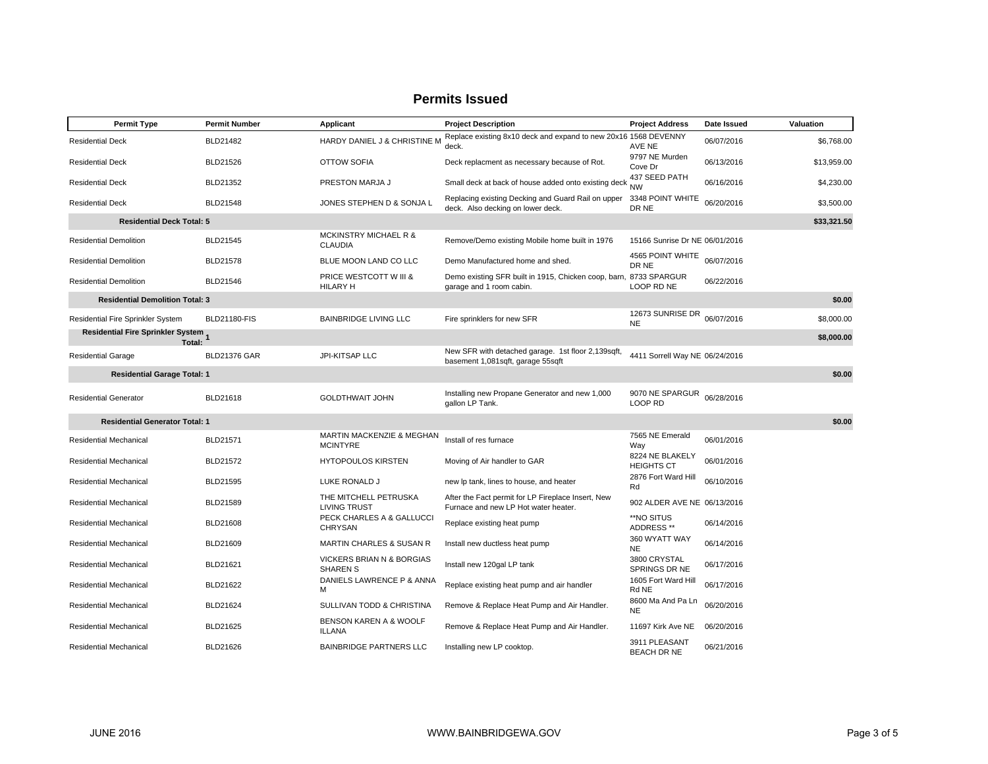| <b>Permit Type</b>                            | <b>Permit Number</b> | Applicant                                          | <b>Project Description</b>                                                                 | <b>Project Address</b>               | Date Issued | Valuation   |
|-----------------------------------------------|----------------------|----------------------------------------------------|--------------------------------------------------------------------------------------------|--------------------------------------|-------------|-------------|
| <b>Residential Deck</b>                       | BLD21482             | HARDY DANIEL J & CHRISTINE M                       | Replace existing 8x10 deck and expand to new 20x16 1568 DEVENNY<br>deck.                   | AVE NE                               | 06/07/2016  | \$6,768.00  |
| <b>Residential Deck</b>                       | BLD21526             | OTTOW SOFIA                                        | Deck replacment as necessary because of Rot.                                               | 9797 NE Murden<br>Cove Dr            | 06/13/2016  | \$13,959.00 |
| <b>Residential Deck</b>                       | BLD21352             | PRESTON MARJA J                                    | Small deck at back of house added onto existing deck                                       | 437 SEED PATH<br><b>NW</b>           | 06/16/2016  | \$4,230.00  |
| <b>Residential Deck</b>                       | BLD21548             | JONES STEPHEN D & SONJA L                          | Replacing existing Decking and Guard Rail on upper<br>deck. Also decking on lower deck.    | 3348 POINT WHITE<br>DR NE            | 06/20/2016  | \$3,500.00  |
| <b>Residential Deck Total: 5</b>              |                      |                                                    |                                                                                            |                                      |             | \$33,321.50 |
| <b>Residential Demolition</b>                 | BLD21545             | <b>MCKINSTRY MICHAEL R &amp;</b><br><b>CLAUDIA</b> | Remove/Demo existing Mobile home built in 1976                                             | 15166 Sunrise Dr NE 06/01/2016       |             |             |
| <b>Residential Demolition</b>                 | <b>BLD21578</b>      | BLUE MOON LAND CO LLC                              | Demo Manufactured home and shed.                                                           | 4565 POINT WHITE<br>DR NE            | 06/07/2016  |             |
| <b>Residential Demolition</b>                 | BLD21546             | PRICE WESTCOTT W III &<br><b>HILARY H</b>          | Demo existing SFR built in 1915, Chicken coop, barn,<br>garage and 1 room cabin.           | 8733 SPARGUR<br>LOOP RD NE           | 06/22/2016  |             |
| <b>Residential Demolition Total: 3</b>        |                      |                                                    |                                                                                            |                                      |             | \$0.00      |
| Residential Fire Sprinkler System             | <b>BLD21180-FIS</b>  | <b>BAINBRIDGE LIVING LLC</b>                       | Fire sprinklers for new SFR                                                                | 12673 SUNRISE DR<br><b>NE</b>        | 06/07/2016  | \$8,000.00  |
| Residential Fire Sprinkler System 1<br>Total: |                      |                                                    |                                                                                            |                                      |             | \$8,000.00  |
| <b>Residential Garage</b>                     | <b>BLD21376 GAR</b>  | <b>JPI-KITSAP LLC</b>                              | New SFR with detached garage. 1st floor 2,139sqft,<br>basement 1,081sqft, garage 55sqft    | 4411 Sorrell Way NE 06/24/2016       |             |             |
| <b>Residential Garage Total: 1</b>            |                      |                                                    |                                                                                            |                                      |             | \$0.00      |
| <b>Residential Generator</b>                  | BLD21618             | <b>GOLDTHWAIT JOHN</b>                             | Installing new Propane Generator and new 1,000<br>gallon LP Tank.                          | 9070 NE SPARGUR<br>LOOP RD           | 06/28/2016  |             |
| <b>Residential Generator Total: 1</b>         |                      |                                                    |                                                                                            |                                      |             | \$0.00      |
| <b>Residential Mechanical</b>                 | BLD21571             | MARTIN MACKENZIE & MEGHAN<br><b>MCINTYRE</b>       | Install of res furnace                                                                     | 7565 NE Emerald<br>Way               | 06/01/2016  |             |
| <b>Residential Mechanical</b>                 | <b>BLD21572</b>      | <b>HYTOPOULOS KIRSTEN</b>                          | Moving of Air handler to GAR                                                               | 8224 NE BLAKELY<br><b>HEIGHTS CT</b> | 06/01/2016  |             |
| <b>Residential Mechanical</b>                 | BLD21595             | LUKE RONALD J                                      | new Ip tank, lines to house, and heater                                                    | 2876 Fort Ward Hill<br>Rd            | 06/10/2016  |             |
| <b>Residential Mechanical</b>                 | BLD21589             | THE MITCHELL PETRUSKA<br><b>LIVING TRUST</b>       | After the Fact permit for LP Fireplace Insert, New<br>Furnace and new LP Hot water heater. | 902 ALDER AVE NE 06/13/2016          |             |             |
| <b>Residential Mechanical</b>                 | BLD21608             | PECK CHARLES A & GALLUCCI<br><b>CHRYSAN</b>        | Replace existing heat pump                                                                 | **NO SITUS<br>ADDRESS**              | 06/14/2016  |             |
| <b>Residential Mechanical</b>                 | BLD21609             | <b>MARTIN CHARLES &amp; SUSAN R</b>                | Install new ductless heat pump                                                             | 360 WYATT WAY<br>NE.                 | 06/14/2016  |             |
| <b>Residential Mechanical</b>                 | BLD21621             | VICKERS BRIAN N & BORGIAS<br><b>SHAREN S</b>       | Install new 120gal LP tank                                                                 | 3800 CRYSTAL<br>SPRINGS DR NE        | 06/17/2016  |             |
| Residential Mechanical                        | BLD21622             | DANIELS LAWRENCE P & ANNA<br>M                     | Replace existing heat pump and air handler                                                 | 1605 Fort Ward Hill<br>Rd NE         | 06/17/2016  |             |
| Residential Mechanical                        | BLD21624             | SULLIVAN TODD & CHRISTINA                          | Remove & Replace Heat Pump and Air Handler.                                                | 8600 Ma And Pa Ln<br><b>NE</b>       | 06/20/2016  |             |
| Residential Mechanical                        | BLD21625             | BENSON KAREN A & WOOLF<br><b>ILLANA</b>            | Remove & Replace Heat Pump and Air Handler.                                                | 11697 Kirk Ave NE                    | 06/20/2016  |             |
| <b>Residential Mechanical</b>                 | BLD21626             | <b>BAINBRIDGE PARTNERS LLC</b>                     | Installing new LP cooktop.                                                                 | 3911 PLEASANT<br><b>BEACH DR NE</b>  | 06/21/2016  |             |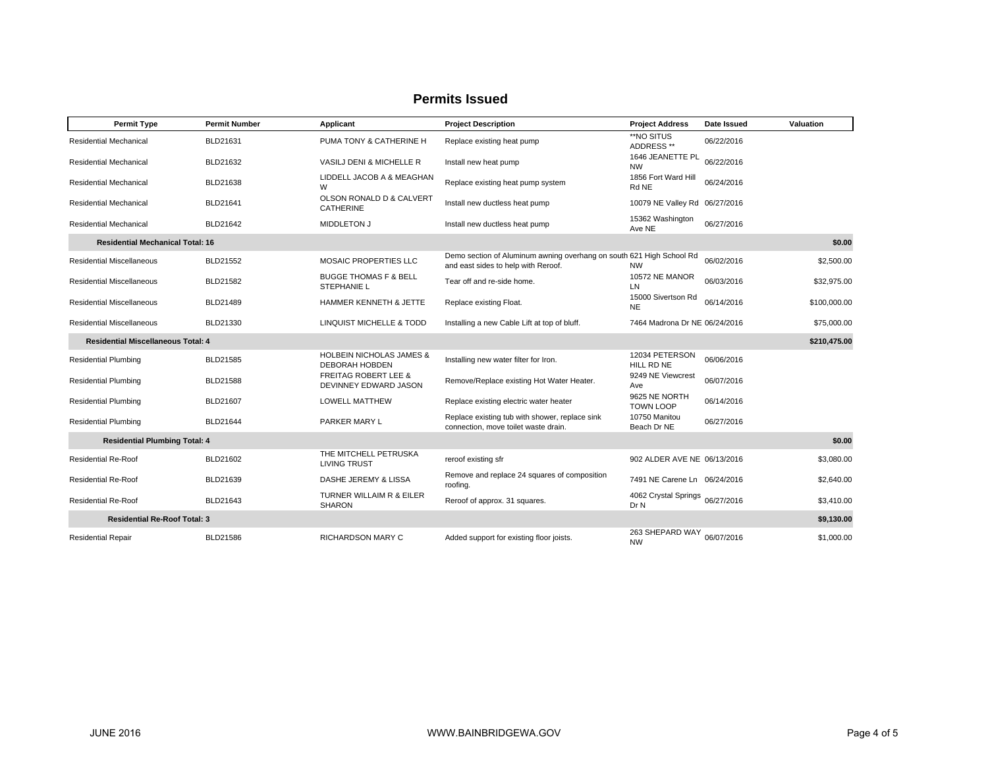#### **Permit Type Permit Number Applicant Project Description Project Address Date Issued Valuation** Residential Mechanical BLD21631PUMA TONY & CATHERINE H Replace existing heat pump  $*N$  ADDRESS \*\* 06/22/2016 Residential Mechanical BLD21632VASILJ DENI & MICHELLE R Install new heat pump 1646 JEANETTE PL 1646 JEANETTE PL 06/22/2016 Residential Mechanical BLD21638 LIDDELL JACOB A & MEAGHAN WReplace existing heat pump system<br>
Rd NE Rd NE 06/24/2016 Residential Mechanical BLD21641 OLSON RONALD D & CALVERT CATHERINE Install new ductless heat pump 10079 NE Valley Rd 06/27/2016 Residential Mechanical BLD21642MIDDLETON J Install new ductless heat pump 15362 Washington 15362 Washington 06/27/2016 **Residential Mechanical Total: 16 \$0.00** Residential Miscellaneous**BLD21552**  MOSAIC PROPERTIES LLCDemo section of Aluminum awning overhang on south 621 High School Rd<br>and east sides to help with Reroof. MW 06/02/2016 \$2,500.00 Residential Miscellaneous**BLD21582**  BUGGE THOMAS F & BELL STEPHANIE LTear off and re-side home. 10572 NE MANOR LN 06/03/2016 \$32,975.00 Residential Miscellaneous BLD21489HAMMER KENNETH & JETTE Replace existing Float. 15000 Side NE  $15000$  Sivertson Rd  $06/14/2016$  \$100,000.00 Residential Miscellaneous BLD21330LINQUIST MICHELLE & TODD Installing a new Cable Lift at top of bluff. 7464 Madrona Dr NE 06/24/2016 \$75,000.00 **Residential Miscellaneous Total: 4 \$210,475.00** Residential Plumbing **BLD21585** HOLBEIN NICHOLAS JAMES & HOLBEIN NICHOLAS JAMES & Installing new water filter for Iron. 12034 PETERSON 06/06/2016 Residential Plumbing **FREITAG ROBERT LEE &**<br>DEVINNEY EDWARD JASON Remove/Replace existing Hot Water Heater. 9249 NE Viewcrest 06/07/2016 Residential Plumbing **BLD21607** BLD21607 LOWELL MATTHEW Replace existing electric water heater 9625 NE NORTH TOWN LOOP 06/14/2016 Replace existing tub with shower, replace sink the 10750 Manitou of Beach Dr NE مeplace existing tub with shower, replace sink to 10750 Manitou of the 10750 Manitou Dr NE to the Beach Dr NE Deach Dr NE to NE to the Beach D **Residential Plumbing Total: 4 \$0.00** Residential Re-Roof BLD21602THE MITCHELL PETRUSKA<br>LIVING TRUST reroof existing sfr 902 ALDER AVE NE 06/13/2016 \$3,080.00 Residential Re-Roof BLD21639 DASHE JEREMY & LISSARemove and replace 24 squares of composition 7491 NE Carene Ln 06/24/2016 \$2,640.00<br>roofing. Residential Re-Roof BLD21643 TURNER WILLAIM R & EILER SHARONReroof of approx. 31 squares. 4062 Crystal Springs 06/27/2016 \$3,410.00 **Residential Re-Roof Total: 3 \$9,130.00** Residential Repair **RICHARDSON MARY C** Added support for existing floor joists. 263 AM<br>MW 263 SHEPARD WAY 06/07/2016 \$1,000.00